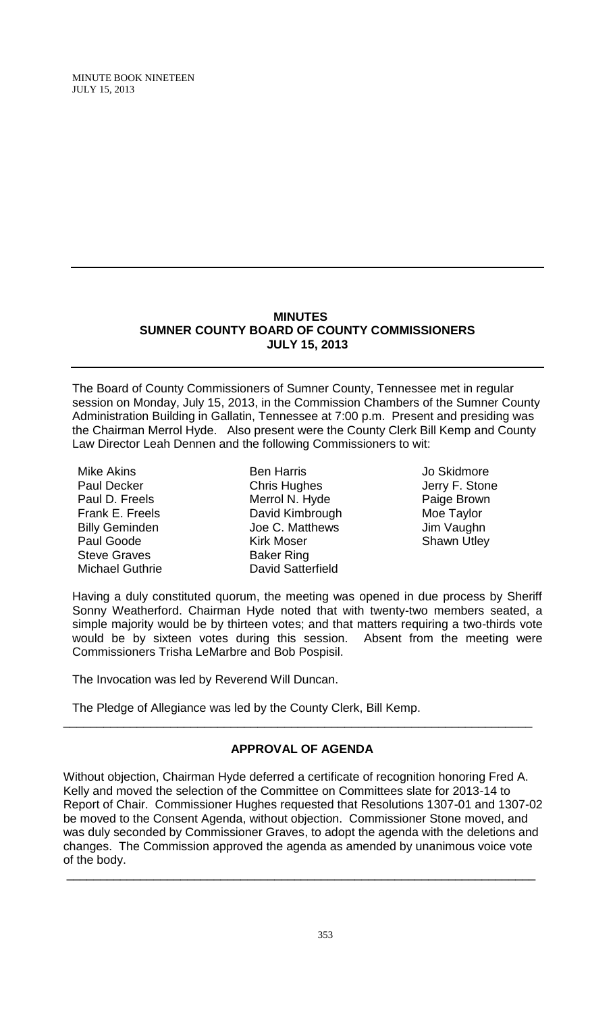#### **MINUTES SUMNER COUNTY BOARD OF COUNTY COMMISSIONERS JULY 15, 2013**

The Board of County Commissioners of Sumner County, Tennessee met in regular session on Monday, July 15, 2013, in the Commission Chambers of the Sumner County Administration Building in Gallatin, Tennessee at 7:00 p.m. Present and presiding was the Chairman Merrol Hyde. Also present were the County Clerk Bill Kemp and County Law Director Leah Dennen and the following Commissioners to wit:

Mike Akins Paul Decker Paul D. Freels Frank E. Freels Billy Geminden Paul Goode Steve Graves Michael Guthrie

Ben Harris Chris Hughes Merrol N. Hyde David Kimbrough Joe C. Matthews Kirk Moser Baker Ring David Satterfield

Jo Skidmore Jerry F. Stone Paige Brown Moe Taylor Jim Vaughn Shawn Utley

Having a duly constituted quorum, the meeting was opened in due process by Sheriff Sonny Weatherford. Chairman Hyde noted that with twenty-two members seated, a simple majority would be by thirteen votes; and that matters requiring a two-thirds vote would be by sixteen votes during this session. Absent from the meeting were Commissioners Trisha LeMarbre and Bob Pospisil.

The Invocation was led by Reverend Will Duncan.

The Pledge of Allegiance was led by the County Clerk, Bill Kemp.

# **APPROVAL OF AGENDA**

\_\_\_\_\_\_\_\_\_\_\_\_\_\_\_\_\_\_\_\_\_\_\_\_\_\_\_\_\_\_\_\_\_\_\_\_\_\_\_\_\_\_\_\_\_\_\_\_\_\_\_\_\_\_\_\_\_\_\_\_\_\_\_\_\_\_\_\_\_\_

Without objection, Chairman Hyde deferred a certificate of recognition honoring Fred A. Kelly and moved the selection of the Committee on Committees slate for 2013-14 to Report of Chair. Commissioner Hughes requested that Resolutions 1307-01 and 1307-02 be moved to the Consent Agenda, without objection. Commissioner Stone moved, and was duly seconded by Commissioner Graves, to adopt the agenda with the deletions and changes. The Commission approved the agenda as amended by unanimous voice vote of the body. \_\_\_\_\_\_\_\_\_\_\_\_\_\_\_\_\_\_\_\_\_\_\_\_\_\_\_\_\_\_\_\_\_\_\_\_\_\_\_\_\_\_\_\_\_\_\_\_\_\_\_\_\_\_\_\_\_\_\_\_\_\_\_\_\_\_\_\_\_\_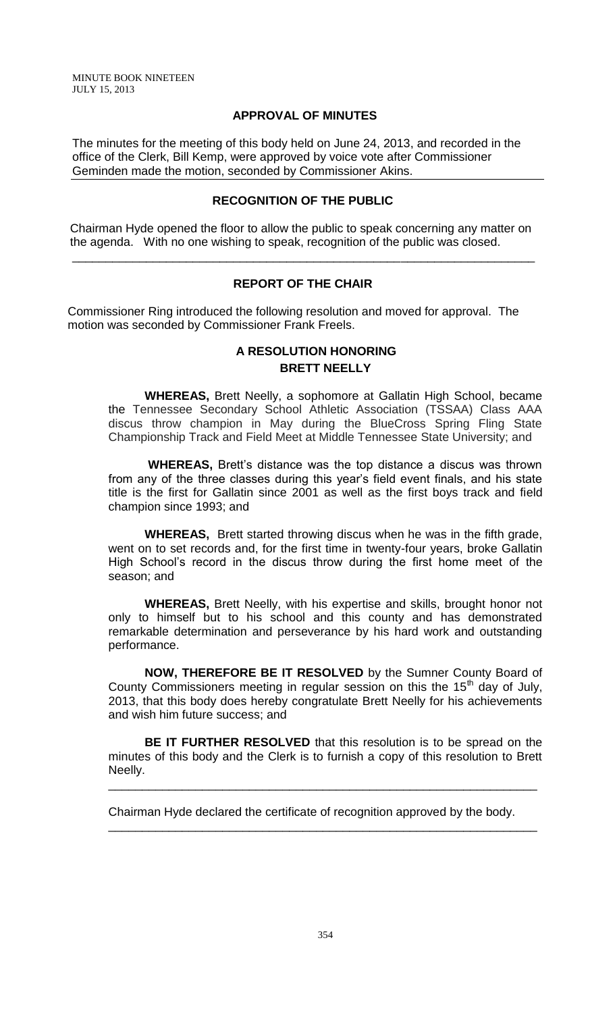#### **APPROVAL OF MINUTES**

The minutes for the meeting of this body held on June 24, 2013, and recorded in the office of the Clerk, Bill Kemp, were approved by voice vote after Commissioner Geminden made the motion, seconded by Commissioner Akins.

#### **RECOGNITION OF THE PUBLIC**

 Chairman Hyde opened the floor to allow the public to speak concerning any matter on the agenda. With no one wishing to speak, recognition of the public was closed.

\_\_\_\_\_\_\_\_\_\_\_\_\_\_\_\_\_\_\_\_\_\_\_\_\_\_\_\_\_\_\_\_\_\_\_\_\_\_\_\_\_\_\_\_\_\_\_\_\_\_\_\_\_\_\_\_\_\_\_\_\_\_\_\_\_\_\_\_\_

#### **REPORT OF THE CHAIR**

Commissioner Ring introduced the following resolution and moved for approval. The motion was seconded by Commissioner Frank Freels.

# **A RESOLUTION HONORING BRETT NEELLY**

**WHEREAS,** Brett Neelly, a sophomore at Gallatin High School, became the Tennessee Secondary School Athletic Association (TSSAA) Class AAA discus throw champion in May during the BlueCross Spring Fling State Championship Track and Field Meet at Middle Tennessee State University; and

**WHEREAS,** Brett's distance was the top distance a discus was thrown from any of the three classes during this year's field event finals, and his state title is the first for Gallatin since 2001 as well as the first boys track and field champion since 1993; and

**WHEREAS,** Brett started throwing discus when he was in the fifth grade, went on to set records and, for the first time in twenty-four years, broke Gallatin High School's record in the discus throw during the first home meet of the season; and

**WHEREAS,** Brett Neelly, with his expertise and skills, brought honor not only to himself but to his school and this county and has demonstrated remarkable determination and perseverance by his hard work and outstanding performance.

**NOW, THEREFORE BE IT RESOLVED** by the Sumner County Board of County Commissioners meeting in regular session on this the 15<sup>th</sup> day of July, 2013, that this body does hereby congratulate Brett Neelly for his achievements and wish him future success; and

**BE IT FURTHER RESOLVED** that this resolution is to be spread on the minutes of this body and the Clerk is to furnish a copy of this resolution to Brett Neelly.

\_\_\_\_\_\_\_\_\_\_\_\_\_\_\_\_\_\_\_\_\_\_\_\_\_\_\_\_\_\_\_\_\_\_\_\_\_\_\_\_\_\_\_\_\_\_\_\_\_\_\_\_\_\_\_\_\_\_\_\_\_\_\_\_

\_\_\_\_\_\_\_\_\_\_\_\_\_\_\_\_\_\_\_\_\_\_\_\_\_\_\_\_\_\_\_\_\_\_\_\_\_\_\_\_\_\_\_\_\_\_\_\_\_\_\_\_\_\_\_\_\_\_\_\_\_\_\_\_

Chairman Hyde declared the certificate of recognition approved by the body.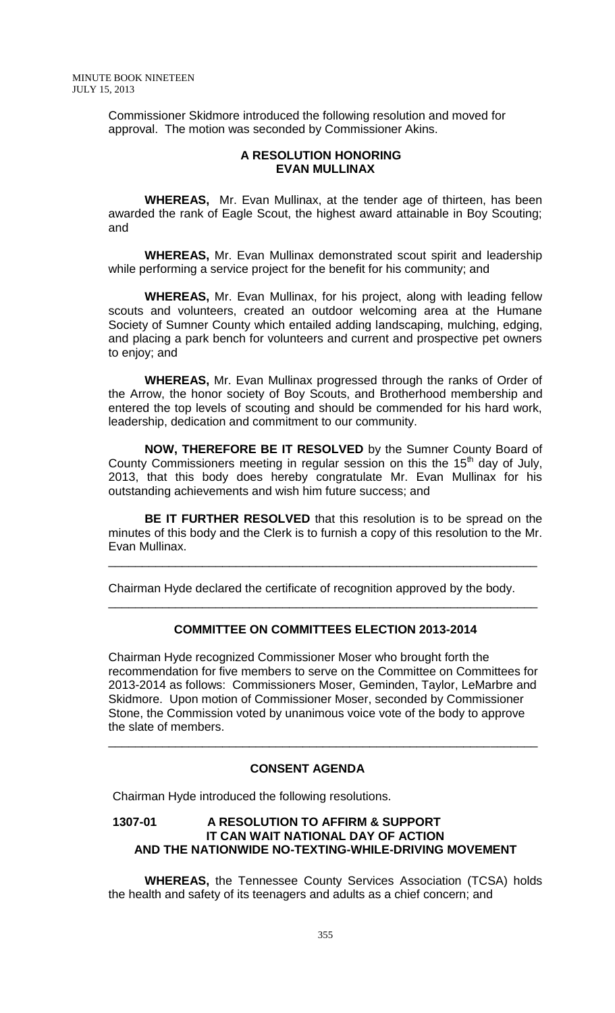Commissioner Skidmore introduced the following resolution and moved for approval. The motion was seconded by Commissioner Akins.

#### **A RESOLUTION HONORING EVAN MULLINAX**

**WHEREAS,** Mr. Evan Mullinax, at the tender age of thirteen, has been awarded the rank of Eagle Scout, the highest award attainable in Boy Scouting; and

**WHEREAS,** Mr. Evan Mullinax demonstrated scout spirit and leadership while performing a service project for the benefit for his community; and

**WHEREAS,** Mr. Evan Mullinax, for his project, along with leading fellow scouts and volunteers, created an outdoor welcoming area at the Humane Society of Sumner County which entailed adding landscaping, mulching, edging, and placing a park bench for volunteers and current and prospective pet owners to enjoy; and

**WHEREAS,** Mr. Evan Mullinax progressed through the ranks of Order of the Arrow, the honor society of Boy Scouts, and Brotherhood membership and entered the top levels of scouting and should be commended for his hard work, leadership, dedication and commitment to our community.

**NOW, THEREFORE BE IT RESOLVED** by the Sumner County Board of County Commissioners meeting in regular session on this the  $15<sup>th</sup>$  day of July, 2013, that this body does hereby congratulate Mr. Evan Mullinax for his outstanding achievements and wish him future success; and

**BE IT FURTHER RESOLVED** that this resolution is to be spread on the minutes of this body and the Clerk is to furnish a copy of this resolution to the Mr. Evan Mullinax.

\_\_\_\_\_\_\_\_\_\_\_\_\_\_\_\_\_\_\_\_\_\_\_\_\_\_\_\_\_\_\_\_\_\_\_\_\_\_\_\_\_\_\_\_\_\_\_\_\_\_\_\_\_\_\_\_\_\_\_\_\_\_\_\_

\_\_\_\_\_\_\_\_\_\_\_\_\_\_\_\_\_\_\_\_\_\_\_\_\_\_\_\_\_\_\_\_\_\_\_\_\_\_\_\_\_\_\_\_\_\_\_\_\_\_\_\_\_\_\_\_\_\_\_\_\_\_\_\_

Chairman Hyde declared the certificate of recognition approved by the body.

### **COMMITTEE ON COMMITTEES ELECTION 2013-2014**

Chairman Hyde recognized Commissioner Moser who brought forth the recommendation for five members to serve on the Committee on Committees for 2013-2014 as follows: Commissioners Moser, Geminden, Taylor, LeMarbre and Skidmore. Upon motion of Commissioner Moser, seconded by Commissioner Stone, the Commission voted by unanimous voice vote of the body to approve the slate of members.

\_\_\_\_\_\_\_\_\_\_\_\_\_\_\_\_\_\_\_\_\_\_\_\_\_\_\_\_\_\_\_\_\_\_\_\_\_\_\_\_\_\_\_\_\_\_\_\_\_\_\_\_\_\_\_\_\_\_\_\_\_\_\_\_

# **CONSENT AGENDA**

Chairman Hyde introduced the following resolutions.

### **1307-01 A RESOLUTION TO AFFIRM & SUPPORT IT CAN WAIT NATIONAL DAY OF ACTION AND THE NATIONWIDE NO-TEXTING-WHILE-DRIVING MOVEMENT**

**WHEREAS,** the Tennessee County Services Association (TCSA) holds the health and safety of its teenagers and adults as a chief concern; and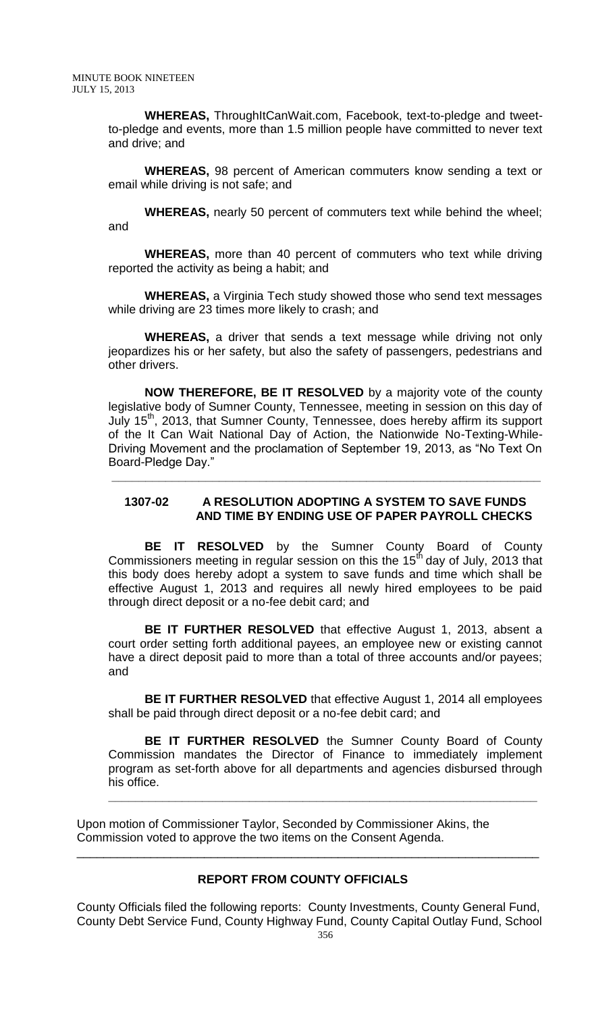**WHEREAS,** ThroughItCanWait.com, Facebook, text-to-pledge and tweetto-pledge and events, more than 1.5 million people have committed to never text and drive; and

**WHEREAS,** 98 percent of American commuters know sending a text or email while driving is not safe; and

**WHEREAS,** nearly 50 percent of commuters text while behind the wheel; and

**WHEREAS,** more than 40 percent of commuters who text while driving reported the activity as being a habit; and

**WHEREAS,** a Virginia Tech study showed those who send text messages while driving are 23 times more likely to crash; and

**WHEREAS,** a driver that sends a text message while driving not only jeopardizes his or her safety, but also the safety of passengers, pedestrians and other drivers.

**NOW THEREFORE, BE IT RESOLVED** by a majority vote of the county legislative body of Sumner County, Tennessee, meeting in session on this day of July 15<sup>th</sup>, 2013, that Sumner County, Tennessee, does hereby affirm its support of the It Can Wait National Day of Action, the Nationwide No-Texting-While-Driving Movement and the proclamation of September 19, 2013, as "No Text On Board-Pledge Day."

#### **1307-02 A RESOLUTION ADOPTING A SYSTEM TO SAVE FUNDS AND TIME BY ENDING USE OF PAPER PAYROLL CHECKS**

**\_\_\_\_\_\_\_\_\_\_\_\_\_\_\_\_\_\_\_\_\_\_\_\_\_\_\_\_\_\_\_\_\_\_\_\_\_\_\_\_\_\_\_\_\_\_\_\_\_\_\_\_\_\_\_\_\_\_\_\_\_\_\_\_**

**BE IT RESOLVED** by the Sumner County Board of County Commissioners meeting in regular session on this the 15<sup>th</sup> day of July, 2013 that this body does hereby adopt a system to save funds and time which shall be effective August 1, 2013 and requires all newly hired employees to be paid through direct deposit or a no-fee debit card; and

**BE IT FURTHER RESOLVED** that effective August 1, 2013, absent a court order setting forth additional payees, an employee new or existing cannot have a direct deposit paid to more than a total of three accounts and/or payees; and

**BE IT FURTHER RESOLVED** that effective August 1, 2014 all employees shall be paid through direct deposit or a no-fee debit card; and

**BE IT FURTHER RESOLVED** the Sumner County Board of County Commission mandates the Director of Finance to immediately implement program as set-forth above for all departments and agencies disbursed through his office.

**\_\_\_\_\_\_\_\_\_\_\_\_\_\_\_\_\_\_\_\_\_\_\_\_\_\_\_\_\_\_\_\_\_\_\_\_\_\_\_\_\_\_\_\_\_\_\_\_\_\_\_\_\_\_\_\_\_\_\_\_\_\_\_\_**

Upon motion of Commissioner Taylor, Seconded by Commissioner Akins, the Commission voted to approve the two items on the Consent Agenda.

# **REPORT FROM COUNTY OFFICIALS**

\_\_\_\_\_\_\_\_\_\_\_\_\_\_\_\_\_\_\_\_\_\_\_\_\_\_\_\_\_\_\_\_\_\_\_\_\_\_\_\_\_\_\_\_\_\_\_\_\_\_\_\_\_\_\_\_\_\_\_\_\_\_\_\_\_\_\_\_\_

County Officials filed the following reports: County Investments, County General Fund, County Debt Service Fund, County Highway Fund, County Capital Outlay Fund, School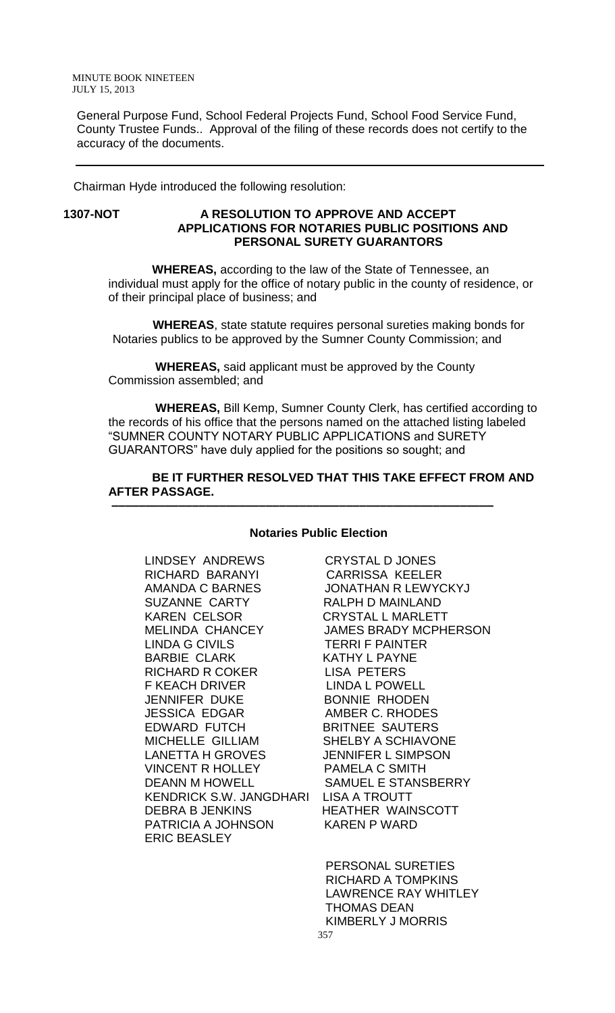General Purpose Fund, School Federal Projects Fund, School Food Service Fund, County Trustee Funds.. Approval of the filing of these records does not certify to the accuracy of the documents.

Chairman Hyde introduced the following resolution:

### **1307-NOT A RESOLUTION TO APPROVE AND ACCEPT APPLICATIONS FOR NOTARIES PUBLIC POSITIONS AND PERSONAL SURETY GUARANTORS**

 **WHEREAS,** according to the law of the State of Tennessee, an individual must apply for the office of notary public in the county of residence, or of their principal place of business; and

 **WHEREAS**, state statute requires personal sureties making bonds for Notaries publics to be approved by the Sumner County Commission; and

 **WHEREAS,** said applicant must be approved by the County Commission assembled; and

 **–––––––––––––––––––––––––––––––––––––––––––––––––––––––––**

 **WHEREAS,** Bill Kemp, Sumner County Clerk, has certified according to the records of his office that the persons named on the attached listing labeled "SUMNER COUNTY NOTARY PUBLIC APPLICATIONS and SURETY GUARANTORS" have duly applied for the positions so sought; and

### **BE IT FURTHER RESOLVED THAT THIS TAKE EFFECT FROM AND AFTER PASSAGE.**

#### **Notaries Public Election**

LINDSEY ANDREWS CRYSTAL D JONES RICHARD BARANYI CARRISSA KEELER AMANDA C BARNES JONATHAN R LEWYCKYJ SUZANNE CARTY RALPH D MAINLAND KAREN CELSOR CRYSTAL L MARLETT MELINDA CHANCEY JAMES BRADY MCPHERSON LINDA G CIVILS TERRI F PAINTER BARBIE CLARK KATHY L PAYNE RICHARD R COKER LISA PETERS F KEACH DRIVER LINDA L POWELL JENNIFER DUKE BONNIE RHODEN JESSICA EDGAR AMBER C. RHODES MICHELLE GILLIAM SHELBY A SCHIAVONE LANETTA H GROVES JENNIFER L SIMPSON VINCENT R HOLLEY PAMELA C SMITH DEANN M HOWELL SAMUEL E STANSBERRY KENDRICK S.W. JANGDHARI LISA A TROUTT DEBRA B JENKINS HEATHER WAINSCOTT PATRICIA A JOHNSON KAREN P WARD ERIC BEASLEY

BRITNEE SAUTERS

 PERSONAL SURETIES RICHARD A TOMPKINS LAWRENCE RAY WHITLEY THOMAS DEAN KIMBERLY J MORRIS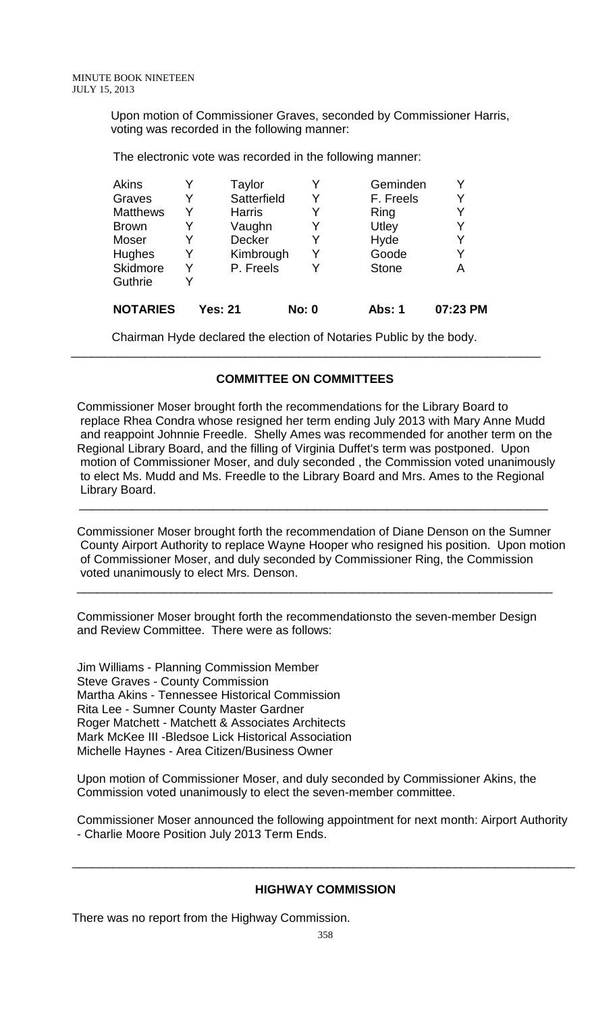Upon motion of Commissioner Graves, seconded by Commissioner Harris, voting was recorded in the following manner:

The electronic vote was recorded in the following manner:

| Akins           |   | Taylor        |              | Geminden     | Y        |
|-----------------|---|---------------|--------------|--------------|----------|
| Graves          | Y | Satterfield   | Y            | F. Freels    | Y        |
| <b>Matthews</b> |   | <b>Harris</b> | Y            | Ring         | Y        |
| <b>Brown</b>    |   | Vaughn        | Y            | Utley        | Y        |
| Moser           |   | Decker        | Y            | Hyde         | Y        |
| Hughes          | Y | Kimbrough     | Y            | Goode        | Y        |
| Skidmore        | Y | P. Freels     |              | <b>Stone</b> | Α        |
| Guthrie         |   |               |              |              |          |
| <b>NOTARIES</b> |   | Yes: 21       | <b>No: 0</b> | Abs: 1       | 07:23 PM |

Chairman Hyde declared the election of Notaries Public by the body.

### **COMMITTEE ON COMMITTEES**

\_\_\_\_\_\_\_\_\_\_\_\_\_\_\_\_\_\_\_\_\_\_\_\_\_\_\_\_\_\_\_\_\_\_\_\_\_\_\_\_\_\_\_\_\_\_\_\_\_\_\_\_\_\_\_\_\_\_\_\_\_\_\_\_\_\_\_\_\_\_

Commissioner Moser brought forth the recommendations for the Library Board to replace Rhea Condra whose resigned her term ending July 2013 with Mary Anne Mudd and reappoint Johnnie Freedle. Shelly Ames was recommended for another term on the Regional Library Board, and the filling of Virginia Duffet's term was postponed. Upon motion of Commissioner Moser, and duly seconded , the Commission voted unanimously to elect Ms. Mudd and Ms. Freedle to the Library Board and Mrs. Ames to the Regional Library Board.

 $\overline{\phantom{a}}$  , and the contribution of the contribution of the contribution of the contribution of the contribution of the contribution of the contribution of the contribution of the contribution of the contribution of the

Commissioner Moser brought forth the recommendation of Diane Denson on the Sumner County Airport Authority to replace Wayne Hooper who resigned his position. Upon motion of Commissioner Moser, and duly seconded by Commissioner Ring, the Commission voted unanimously to elect Mrs. Denson.

Commissioner Moser brought forth the recommendationsto the seven-member Design and Review Committee. There were as follows:

\_\_\_\_\_\_\_\_\_\_\_\_\_\_\_\_\_\_\_\_\_\_\_\_\_\_\_\_\_\_\_\_\_\_\_\_\_\_\_\_\_\_\_\_\_\_\_\_\_\_\_\_\_\_\_\_\_\_\_\_\_\_\_\_\_\_\_\_\_\_\_

Jim Williams - Planning Commission Member Steve Graves - County Commission Martha Akins - Tennessee Historical Commission Rita Lee - Sumner County Master Gardner Roger Matchett - Matchett & Associates Architects Mark McKee III -Bledsoe Lick Historical Association Michelle Haynes - Area Citizen/Business Owner

Upon motion of Commissioner Moser, and duly seconded by Commissioner Akins, the Commission voted unanimously to elect the seven-member committee.

Commissioner Moser announced the following appointment for next month: Airport Authority - Charlie Moore Position July 2013 Term Ends.

### **HIGHWAY COMMISSION**

\_\_\_\_\_\_\_\_\_\_\_\_\_\_\_\_\_\_\_\_\_\_\_\_\_\_\_\_\_\_\_\_\_\_\_\_\_\_\_\_\_\_\_\_\_\_\_\_\_\_\_\_\_\_\_\_\_\_\_\_\_\_\_\_\_\_\_\_\_\_\_\_\_\_\_

There was no report from the Highway Commission.